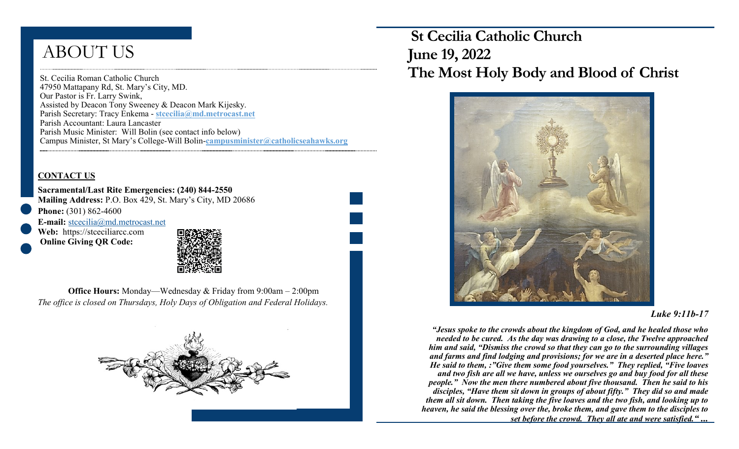# ABOUT US

St. Cecilia Roman Catholic Church 47950 Mattapany Rd, St. Mary's City, MD. Our Pastor is Fr. Larry Swink, Assisted by Deacon Tony Sweeney & Deacon Mark Kijesky. Parish Secretary: Tracy Enkema - **stcecilia@md.metrocast.net**  Parish Accountant: Laura Lancaster Parish Music Minister: Will Bolin (see contact info below) Campus Minister, St Mary's College-Will Bolin-**campusminister@catholicseahawks.org** 

### **CONTACT US**

**Sacramental/Last Rite Emergencies: (240) 844-2550 Mailing Address:** P.O. Box 429, St. Mary's City, MD 20686 **Phone:** (301) 862-4600

**E-mail:** [stcecilia@md.metrocast.net](mailto:stcecilia@md.metrocast.net) Web: https://stceciliarcc.com

**Online Giving QR Code:**



**Office Hours:** Monday—Wednesday & Friday from 9:00am – 2:00pm *The office is closed on Thursdays, Holy Days of Obligation and Federal Holidays.*



 **St Cecilia Catholic Church June 19, 2022 The Most Holy Body and Blood of Christ** 



#### *Luke 9:11b-17*

*"Jesus spoke to the crowds about the kingdom of God, and he healed those who needed to be cured. As the day was drawing to a close, the Twelve approached him and said, "Dismiss the crowd so that they can go to the surrounding villages and farms and find lodging and provisions; for we are in a deserted place here." He said to them, :"Give them some food yourselves." They replied, "Five loaves and two fish are all we have, unless we ourselves go and buy food for all these people." Now the men there numbered about five thousand. Then he said to his disciples, "Have them sit down in groups of about fifty." They did so and made them all sit down. Then taking the five loaves and the two fish, and looking up to heaven, he said the blessing over the, broke them, and gave them to the disciples to set before the crowd. They all ate and were satisfied." ...*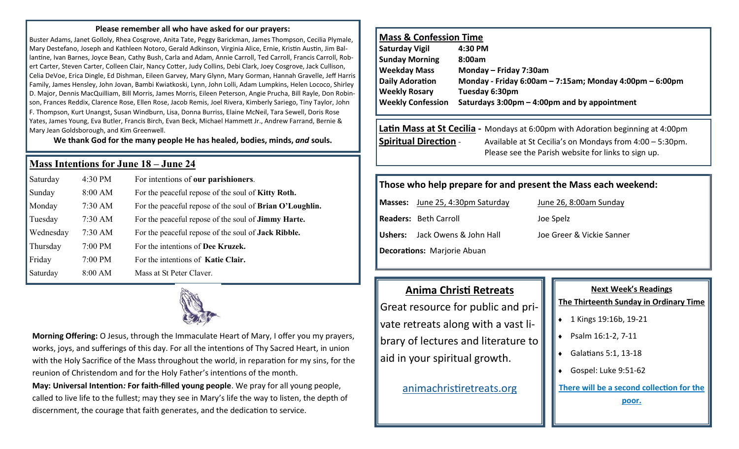#### **Please remember all who have asked for our prayers:**

Buster Adams, Janet Golloly, Rhea Cosgrove, Anita Tate, Peggy Barickman, James Thompson, Cecilia Plymale, Mary Destefano, Joseph and Kathleen Notoro, Gerald Adkinson, Virginia Alice, Ernie, Kristin Austin, Jim Ballantine, Ivan Barnes, Joyce Bean, Cathy Bush, Carla and Adam, Annie Carroll, Ted Carroll, Francis Carroll, Robert Carter, Steven Carter, Colleen Clair, Nancy Cotter, Judy Collins, Debi Clark, Joey Cosgrove, Jack Cullison, Celia DeVoe, Erica Dingle, Ed Dishman, Eileen Garvey, Mary Glynn, Mary Gorman, Hannah Gravelle, Jeff Harris Family, James Hensley, John Jovan, Bambi Kwiatkoski, Lynn, John Lolli, Adam Lumpkins, Helen Lococo, Shirley D. Major, Dennis MacQuilliam, Bill Morris, James Morris, Eileen Peterson, Angie Prucha, Bill Rayle, Don Robinson, Frances Reddix, Clarence Rose, Ellen Rose, Jacob Remis, Joel Rivera, Kimberly Sariego, Tiny Taylor, John F. Thompson, Kurt Unangst, Susan Windburn, Lisa, Donna Burriss, Elaine McNeil, Tara Sewell, Doris Rose Yates, James Young, Eva Butler, Francis Birch, Evan Beck, Michael Hammett Jr., Andrew Farrand, Bernie & Mary Jean Goldsborough, and Kim Greenwell.

**We thank God for the many people He has healed, bodies, minds,** *and* **souls.**

## **Mass Intentions for June 18 – June 24**

| Saturday  | 4:30 PM   | For intentions of our parishioners.                        |
|-----------|-----------|------------------------------------------------------------|
| Sunday    | 8:00 AM   | For the peaceful repose of the soul of <b>Kitty Roth.</b>  |
| Monday    | 7:30 AM   | For the peaceful repose of the soul of Brian O'Loughlin.   |
| Tuesday   | $7:30$ AM | For the peaceful repose of the soul of <b>Jimmy Harte.</b> |
| Wednesday | $7:30$ AM | For the peaceful repose of the soul of <b>Jack Ribble.</b> |
| Thursday  | $7:00$ PM | For the intentions of Dee Kruzek.                          |
| Friday    | 7:00 PM   | For the intentions of Katie Clair.                         |
| Saturday  | 8:00 AM   | Mass at St Peter Claver.                                   |



**Morning Offering:** O Jesus, through the Immaculate Heart of Mary, I offer you my prayers, works, joys, and sufferings of this day. For all the intentions of Thy Sacred Heart, in union with the Holy Sacrifice of the Mass throughout the world, in reparation for my sins, for the reunion of Christendom and for the Holy Father's intentions of the month. **May: Universal Intention***:* **For faith-filled young people**. We pray for all young people,

called to live life to the fullest; may they see in Mary's life the way to listen, the depth of discernment, the courage that faith generates, and the dedication to service.

## **Mass & Confession Time**

| <b>Saturday Vigil</b>    | 4:30 PM                                                        |
|--------------------------|----------------------------------------------------------------|
| <b>Sunday Morning</b>    | 8:00am                                                         |
| <b>Weekday Mass</b>      | Monday - Friday 7:30am                                         |
| <b>Daily Adoration</b>   | Monday - Friday 6:00am $-$ 7:15am; Monday 4:00pm $-$ 6:00pm    |
| <b>Weekly Rosary</b>     | Tuesday 6:30pm                                                 |
| <b>Weekly Confession</b> | Saturdays $3:00 \text{pm} - 4:00 \text{pm}$ and by appointment |
|                          |                                                                |

# **Latin Mass at St Cecilia -** Mondays at 6:00pm with Adoration beginning at 4:00pm **Spiritual Direction** - Available at St Cecilia's on Mondays from 4:00 – 5:30pm. Please see the Parish website for links to sign up.

# **Those who help prepare for and present the Mass each weekend:**

**Masses:** June 25, 4:30pm Saturday June 26, 8:00am Sunday **Readers:** Beth Carroll **Cancel Contract Contract Contract Contract Contract Contract Contract Joe Spelz Ushers:** Jack Owens & John Hall Joe Greer & Vickie Sanner **Decorations:** Marjorie Abuan

# **Anima Christi Retreats**

Great resource for public and private retreats along with a vast library of lectures and literature to aid in your spiritual growth.

[animachristiretreats.org](https://www.animachristiretreats.org/) 

# **Next Week's Readings**

#### **The Thirteenth Sunday in Ordinary Time**

- ◆ 1 Kings 19:16b, 19-21
- ◆ Psalm 16:1-2, 7-11
- Galatians 5:1, 13-18
- Gospel: Luke 9:51-62

**There will be a second collection for the** 

**poor.**